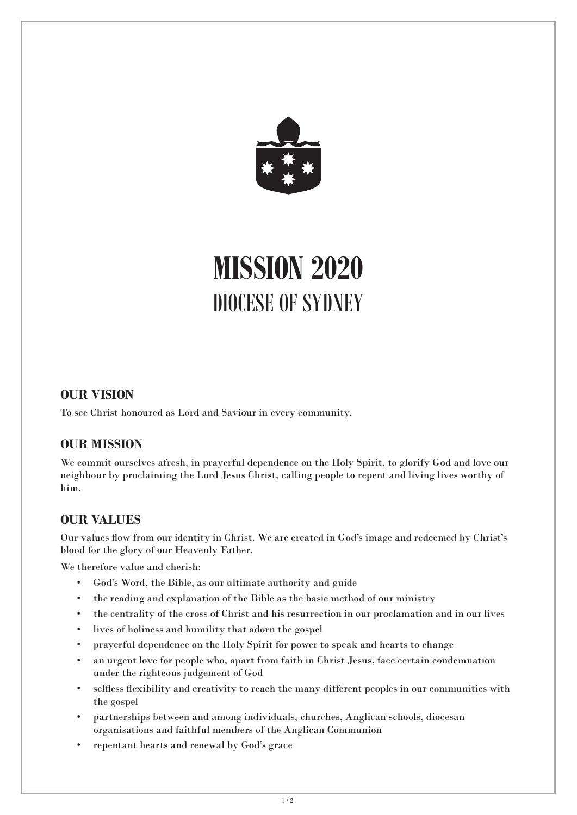

# **MISSION 2020** DIOCESE OF SYDNEY

## **OUR VISION**

To see Christ honoured as Lord and Saviour in every community.

# **OUR MISSION**

We commit ourselves afresh, in prayerful dependence on the Holy Spirit, to glorify God and love our neighbour by proclaiming the Lord Jesus Christ, calling people to repent and living lives worthy of him.

# **OUR VALUES**

Our values flow from our identity in Christ. We are created in God's image and redeemed by Christ's blood for the glory of our Heavenly Father.

We therefore value and cherish:

- God's Word, the Bible, as our ultimate authority and guide
- the reading and explanation of the Bible as the basic method of our ministry
- the centrality of the cross of Christ and his resurrection in our proclamation and in our lives
- lives of holiness and humility that adorn the gospel
- prayerful dependence on the Holy Spirit for power to speak and hearts to change
- an urgent love for people who, apart from faith in Christ Jesus, face certain condemnation under the righteous judgement of God
- selfless flexibility and creativity to reach the many different peoples in our communities with the gospel
- partnerships between and among individuals, churches, Anglican schools, diocesan organisations and faithful members of the Anglican Communion
- repentant hearts and renewal by God's grace